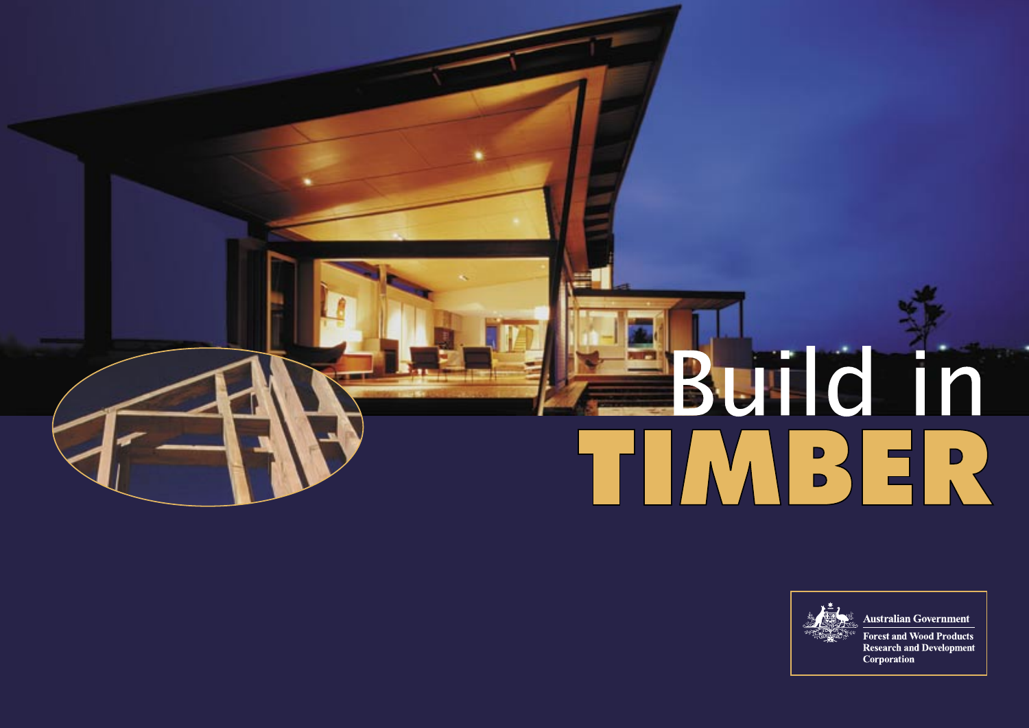



#### **Australian Government**

**Forest and Wood Products Research and Development** Corporation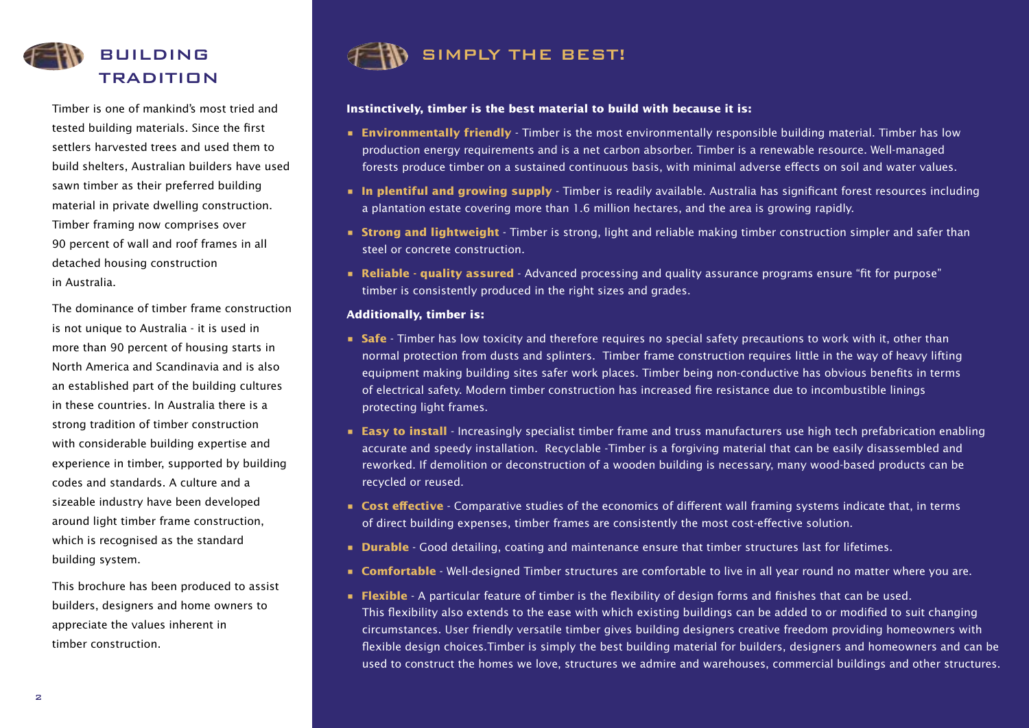

Timber is one of mankind's most tried and tested building materials. Since the first settlers harvested trees and used them to build shelters, Australian builders have used sawn timber as their preferred building material in private dwelling construction. Timber framing now comprises over 90 percent of wall and roof frames in all detached housing construction in Australia.

The dominance of timber frame construction is not unique to Australia - it is used in more than 90 percent of housing starts in North America and Scandinavia and is also an established part of the building cultures in these countries. In Australia there is a strong tradition of timber construction with considerable building expertise and experience in timber, supported by building codes and standards. A culture and a sizeable industry have been developed around light timber frame construction, which is recognised as the standard building system.

This brochure has been produced to assist builders, designers and home owners to appreciate the values inherent in timber construction.



#### **Instinctively, timber is the best material to build with because it is:**

- **Environmentally friendly** Timber is the most environmentally responsible building material. Timber has low production energy requirements and is a net carbon absorber. Timber is a renewable resource. Well-managed forests produce timber on a sustained continuous basis, with minimal adverse effects on soil and water values.
- **In plentiful and growing supply** Timber is readily available. Australia has significant forest resources including a plantation estate covering more than 1.6 million hectares, and the area is growing rapidly.
- **Strong and lightweight** Timber is strong, light and reliable making timber construction simpler and safer than steel or concrete construction.
- **Reliable quality assured** Advanced processing and quality assurance programs ensure "fit for purpose" timber is consistently produced in the right sizes and grades.

#### **Additionally, timber is:**

- **Safe** Timber has low toxicity and therefore requires no special safety precautions to work with it, other than normal protection from dusts and splinters. Timber frame construction requires little in the way of heavy lifting equipment making building sites safer work places. Timber being non-conductive has obvious benefits in terms of electrical safety. Modern timber construction has increased fire resistance due to incombustible linings protecting light frames.
- **Easy to install** Increasingly specialist timber frame and truss manufacturers use high tech prefabrication enabling accurate and speedy installation. Recyclable -Timber is a forgiving material that can be easily disassembled and reworked. If demolition or deconstruction of a wooden building is necessary, many wood-based products can be recycled or reused.
- **Cost effective** Comparative studies of the economics of different wall framing systems indicate that, in terms of direct building expenses, timber frames are consistently the most cost-effective solution.
- **Durable** Good detailing, coating and maintenance ensure that timber structures last for lifetimes.
- **Comfortable** Well-designed Timber structures are comfortable to live in all year round no matter where you are.
- **Flexible** A particular feature of timber is the flexibility of design forms and finishes that can be used. This flexibility also extends to the ease with which existing buildings can be added to or modified to suit changing circumstances. User friendly versatile timber gives building designers creative freedom providing homeowners with flexible design choices.Timber is simply the best building material for builders, designers and homeowners and can be used to construct the homes we love, structures we admire and warehouses, commercial buildings and other structures.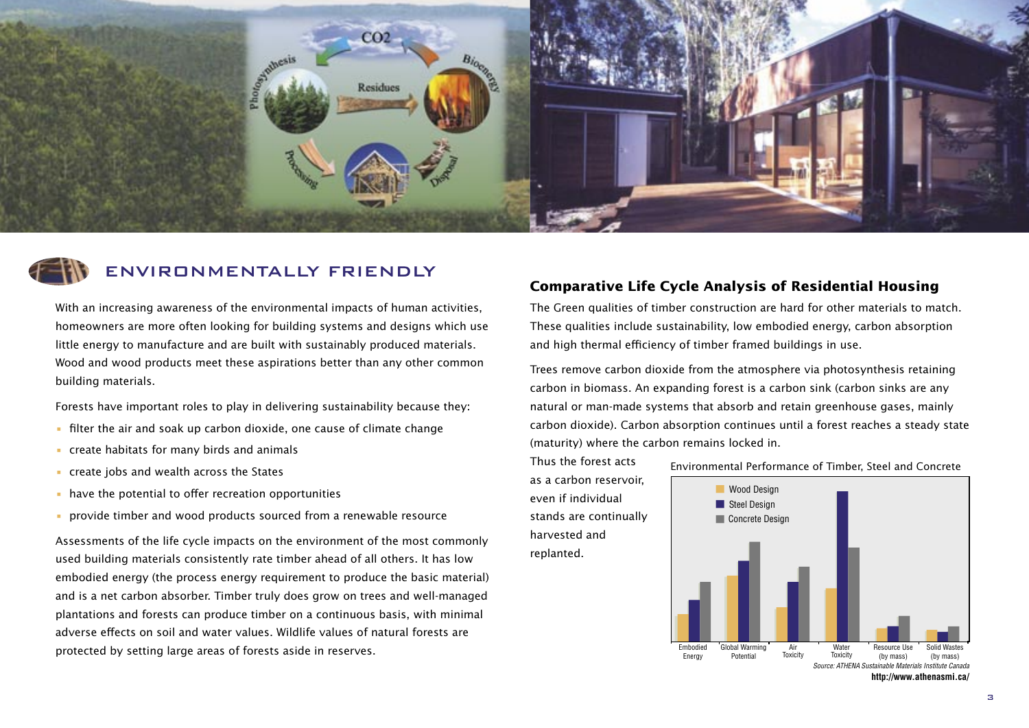



# ENVIRONMENTALLY FRIENDLY

With an increasing awareness of the environmental impacts of human activities, homeowners are more often looking for building systems and designs which use little energy to manufacture and are built with sustainably produced materials. Wood and wood products meet these aspirations better than any other common building materials.

Forests have important roles to play in delivering sustainability because they:

- filter the air and soak up carbon dioxide, one cause of climate change
- create habitats for many birds and animals
- create jobs and wealth across the States
- have the potential to offer recreation opportunities
- provide timber and wood products sourced from a renewable resource

Assessments of the life cycle impacts on the environment of the most commonly used building materials consistently rate timber ahead of all others. It has low embodied energy (the process energy requirement to produce the basic material) and is a net carbon absorber. Timber truly does grow on trees and well-managed plantations and forests can produce timber on a continuous basis, with minimal adverse effects on soil and water values. Wildlife values of natural forests are protected by setting large areas of forests aside in reserves.

#### **Comparative Life Cycle Analysis of Residential Housing**

The Green qualities of timber construction are hard for other materials to match. These qualities include sustainability, low embodied energy, carbon absorption and high thermal efficiency of timber framed buildings in use.

Trees remove carbon dioxide from the atmosphere via photosynthesis retaining carbon in biomass. An expanding forest is a carbon sink (carbon sinks are any natural or man-made systems that absorb and retain greenhouse gases, mainly carbon dioxide). Carbon absorption continues until a forest reaches a steady state (maturity) where the carbon remains locked in.

Thus the forest acts as a carbon reservoir, even if individual stands are continually harvested and replanted.

Environmental Performance of Timber, Steel and Concrete



**http://www.athenasmi.ca/**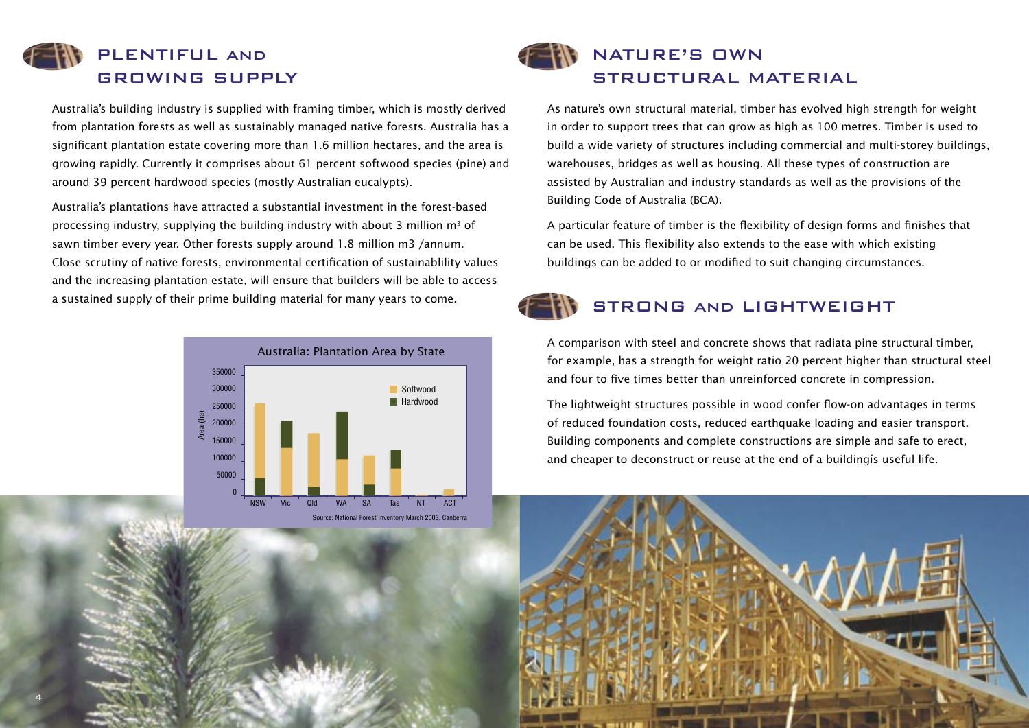

Australia's building industry is supplied with framing timber, which is mostly derived from plantation forests as well as sustainably managed native forests. Australia has a significant plantation estate covering more than 1.6 million hectares, and the area is growing rapidly. Currently it comprises about 61 percent softwood species (pine) and around 39 percent hardwood species (mostly Australian eucalypts).

Australia's plantations have attracted a substantial investment in the forest-based processing industry, supplying the building industry with about 3 million  $m<sup>3</sup>$  of sawn timber every year. Other forests supply around 1.8 million m3 /annum. Close scrutiny of native forests, environmental certification of sustainablility values and the increasing plantation estate, will ensure that builders will be able to access a sustained supply of their prime building material for many years to come.



#### Source: National Forest Inventory March 2003, Canberra

NATURE'S OWN STRUCTURAL MATERIAL

As nature's own structural material, timber has evolved high strength for weight in order to support trees that can grow as high as 100 metres. Timber is used to build a wide variety of structures including commercial and multi-storey buildings, warehouses, bridges as well as housing. All these types of construction are assisted by Australian and industry standards as well as the provisions of the Building Code of Australia (BCA).

A particular feature of timber is the flexibility of design forms and finishes that can be used. This flexibility also extends to the ease with which existing buildings can be added to or modified to suit changing circumstances.



# STRONG and LIGHTWEIGHT

A comparison with steel and concrete shows that radiata pine structural timber, for example, has a strength for weight ratio 20 percent higher than structural steel and four to five times better than unreinforced concrete in compression.

The lightweight structures possible in wood confer flow-on advantages in terms of reduced foundation costs, reduced earthquake loading and easier transport. Building components and complete constructions are simple and safe to erect, and cheaper to deconstruct or reuse at the end of a buildingís useful life.

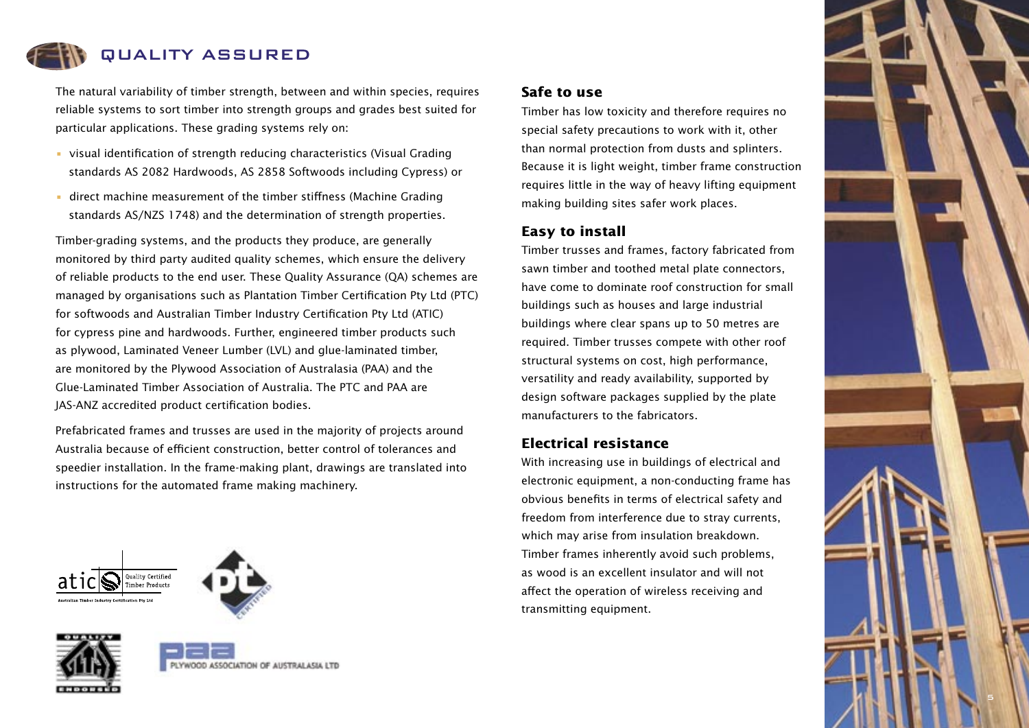

The natural variability of timber strength, between and within species, requires reliable systems to sort timber into strength groups and grades best suited for particular applications. These grading systems rely on:

- visual identification of strength reducing characteristics (Visual Grading standards AS 2082 Hardwoods, AS 2858 Softwoods including Cypress) or
- direct machine measurement of the timber stiffness (Machine Grading standards AS/NZS 1748) and the determination of strength properties.

Timber-grading systems, and the products they produce, are generally monitored by third party audited quality schemes, which ensure the delivery of reliable products to the end user. These Quality Assurance (QA) schemes are managed by organisations such as Plantation Timber Certification Pty Ltd (PTC) for softwoods and Australian Timber Industry Certification Pty Ltd (ATIC) for cypress pine and hardwoods. Further, engineered timber products such as plywood, Laminated Veneer Lumber (LVL) and glue-laminated timber, are monitored by the Plywood Association of Australasia (PAA) and the Glue-Laminated Timber Association of Australia. The PTC and PAA are JAS-ANZ accredited product certification bodies.

Prefabricated frames and trusses are used in the majority of projects around Australia because of efficient construction, better control of tolerances and speedier installation. In the frame-making plant, drawings are translated into instructions for the automated frame making machinery.







#### **Safe to use**

Timber has low toxicity and therefore requires no special safety precautions to work with it, other than normal protection from dusts and splinters. Because it is light weight, timber frame construction requires little in the way of heavy lifting equipment making building sites safer work places.

#### **Easy to install**

Timber trusses and frames, factory fabricated from sawn timber and toothed metal plate connectors, have come to dominate roof construction for small buildings such as houses and large industrial buildings where clear spans up to 50 metres are required. Timber trusses compete with other roof structural systems on cost, high performance, versatility and ready availability, supported by design software packages supplied by the plate manufacturers to the fabricators.

#### **Electrical resistance**

With increasing use in buildings of electrical and electronic equipment, a non-conducting frame has obvious benefits in terms of electrical safety and freedom from interference due to stray currents, which may arise from insulation breakdown. Timber frames inherently avoid such problems, as wood is an excellent insulator and will not affect the operation of wireless receiving and transmitting equipment.

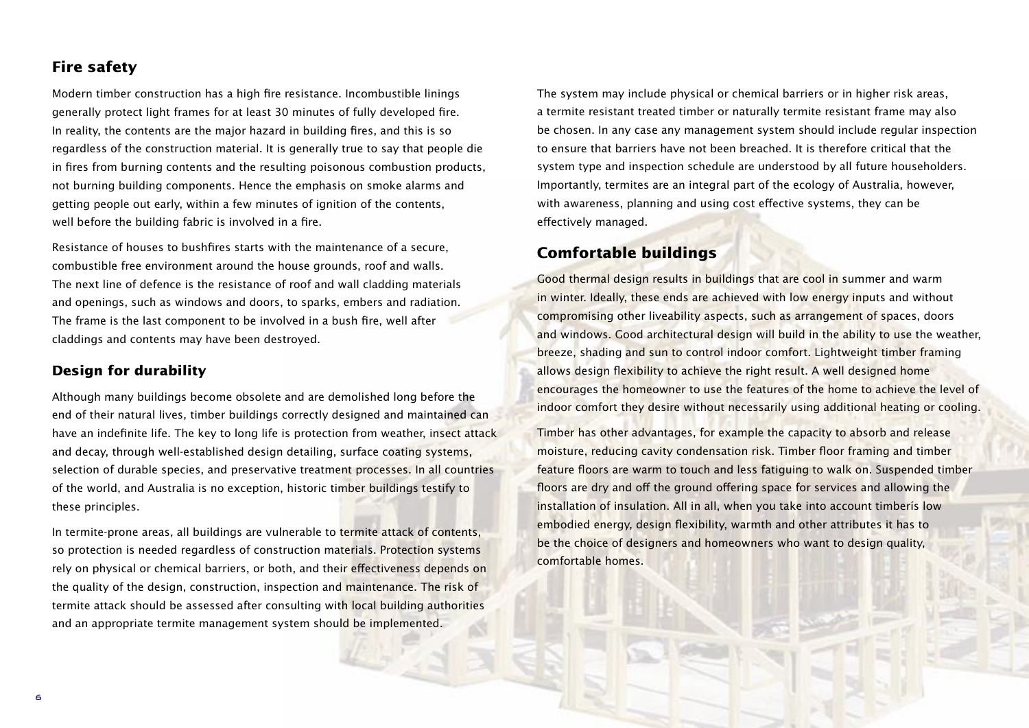## **Fire safety**

Modern timber construction has a high fire resistance. Incombustible linings generally protect light frames for at least 30 minutes of fully developed fire. In reality, the contents are the major hazard in building fires, and this is so regardless of the construction material. It is generally true to say that people die in fires from burning contents and the resulting poisonous combustion products, not burning building components. Hence the emphasis on smoke alarms and getting people out early, within a few minutes of ignition of the contents, well before the building fabric is involved in a fire.

Resistance of houses to bushfires starts with the maintenance of a secure, combustible free environment around the house grounds, roof and walls. The next line of defence is the resistance of roof and wall cladding materials and openings, such as windows and doors, to sparks, embers and radiation. The frame is the last component to be involved in a bush fire, well after claddings and contents may have been destroyed.

#### **Design for durability**

Although many buildings become obsolete and are demolished long before the end of their natural lives, timber buildings correctly designed and maintained can have an indefinite life. The key to long life is protection from weather, insect attack and decay, through well-established design detailing, surface coating systems, selection of durable species, and preservative treatment processes. In all countries of the world, and Australia is no exception, historic timber buildings testify to these principles.

In termite-prone areas, all buildings are vulnerable to termite attack of contents, so protection is needed regardless of construction materials. Protection systems rely on physical or chemical barriers, or both, and their effectiveness depends on the quality of the design, construction, inspection and maintenance. The risk of termite attack should be assessed after consulting with local building authorities and an appropriate termite management system should be implemented.

The system may include physical or chemical barriers or in higher risk areas, a termite resistant treated timber or naturally termite resistant frame may also be chosen. In any case any management system should include regular inspection to ensure that barriers have not been breached. It is therefore critical that the system type and inspection schedule are understood by all future householders. Importantly, termites are an integral part of the ecology of Australia, however, with awareness, planning and using cost effective systems, they can be effectively managed.

## **Comfortable buildings**

Good thermal design results in buildings that are cool in summer and warm in winter. Ideally, these ends are achieved with low energy inputs and without compromising other liveability aspects, such as arrangement of spaces, doors and windows. Good architectural design will build in the ability to use the weather, breeze, shading and sun to control indoor comfort. Lightweight timber framing allows design flexibility to achieve the right result. A well designed home encourages the homeowner to use the features of the home to achieve the level of indoor comfort they desire without necessarily using additional heating or cooling.

Timber has other advantages, for example the capacity to absorb and release moisture, reducing cavity condensation risk. Timber floor framing and timber feature floors are warm to touch and less fatiguing to walk on. Suspended timber floors are dry and off the ground offering space for services and allowing the installation of insulation. All in all, when you take into account timberís low embodied energy, design flexibility, warmth and other attributes it has to be the choice of designers and homeowners who want to design quality, comfortable homes.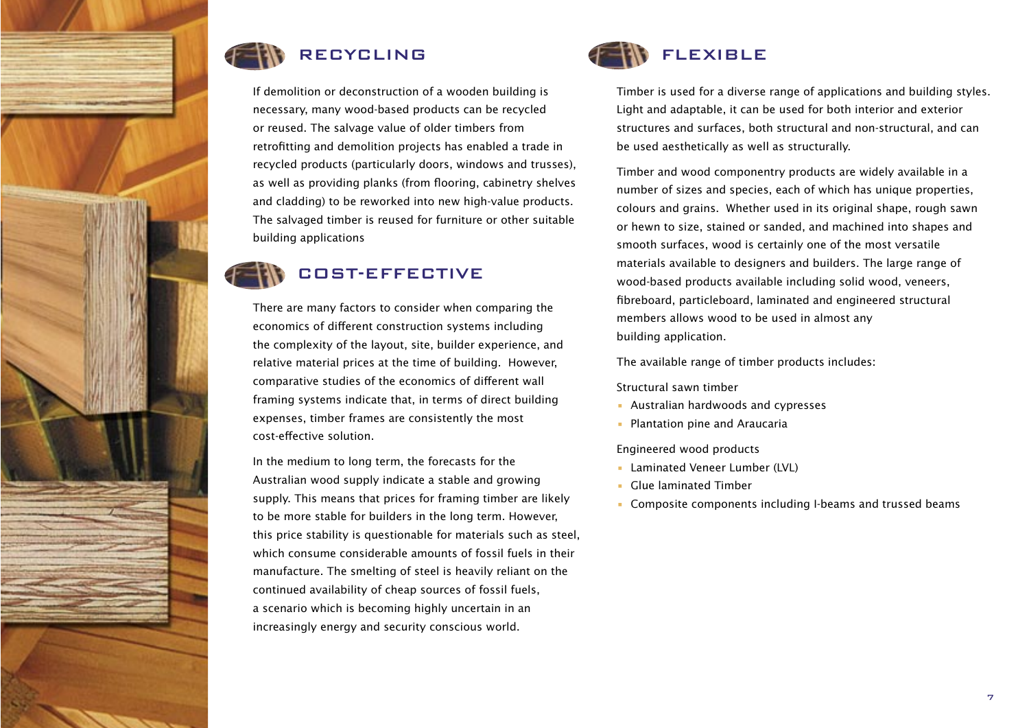

If demolition or deconstruction of a wooden building is necessary, many wood-based products can be recycled or reused. The salvage value of older timbers from retrofitting and demolition projects has enabled a trade in recycled products (particularly doors, windows and trusses), as well as providing planks (from flooring, cabinetry shelves and cladding) to be reworked into new high-value products. The salvaged timber is reused for furniture or other suitable building applications

# COST-EFFECTIVE

There are many factors to consider when comparing the economics of different construction systems including the complexity of the layout, site, builder experience, and relative material prices at the time of building. However, comparative studies of the economics of different wall framing systems indicate that, in terms of direct building expenses, timber frames are consistently the most cost-effective solution.

In the medium to long term, the forecasts for the Australian wood supply indicate a stable and growing supply. This means that prices for framing timber are likely to be more stable for builders in the long term. However, this price stability is questionable for materials such as steel, which consume considerable amounts of fossil fuels in their manufacture. The smelting of steel is heavily reliant on the continued availability of cheap sources of fossil fuels, a scenario which is becoming highly uncertain in an increasingly energy and security conscious world.



Timber is used for a diverse range of applications and building styles. Light and adaptable, it can be used for both interior and exterior structures and surfaces, both structural and non-structural, and can be used aesthetically as well as structurally.

Timber and wood componentry products are widely available in a number of sizes and species, each of which has unique properties, colours and grains. Whether used in its original shape, rough sawn or hewn to size, stained or sanded, and machined into shapes and smooth surfaces, wood is certainly one of the most versatile materials available to designers and builders. The large range of wood-based products available including solid wood, veneers, fibreboard, particleboard, laminated and engineered structural members allows wood to be used in almost any building application.

The available range of timber products includes:

#### Structural sawn timber

- Australian hardwoods and cypresses
- Plantation pine and Araucaria

Engineered wood products

- Laminated Veneer Lumber (LVL)
- Glue laminated Timber
- Composite components including I-beams and trussed beams